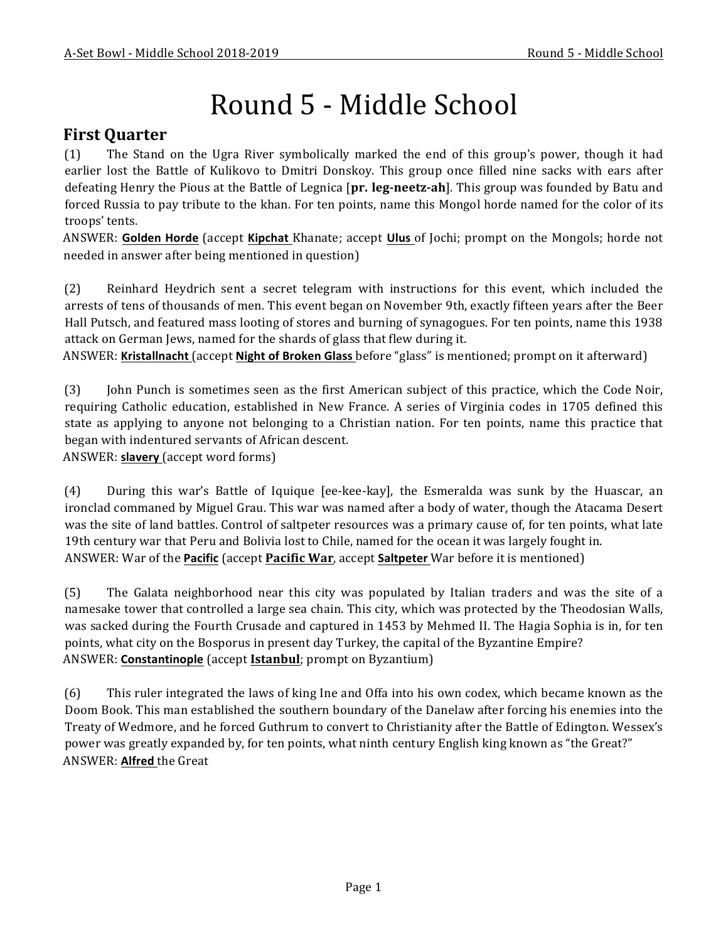# Round 5 - Middle School

## **First Quarter**

(1) The Stand on the Ugra River symbolically marked the end of this group's power, though it had earlier lost the Battle of Kulikovo to Dmitri Donskoy. This group once filled nine sacks with ears after defeating Henry the Pious at the Battle of Legnica [pr. leg-neetz-ah]. This group was founded by Batu and forced Russia to pay tribute to the khan. For ten points, name this Mongol horde named for the color of its troops' tents.

ANSWER: Golden Horde (accept Kipchat Khanate; accept Ulus of Jochi; prompt on the Mongols; horde not needed in answer after being mentioned in question)

(2) Reinhard Heydrich sent a secret telegram with instructions for this event, which included the arrests of tens of thousands of men. This event began on November 9th, exactly fifteen years after the Beer Hall Putsch, and featured mass looting of stores and burning of synagogues. For ten points, name this 1938 attack on German Jews, named for the shards of glass that flew during it.

ANSWER: Kristallnacht (accept Night of Broken Glass before "glass" is mentioned; prompt on it afterward)

(3) John Punch is sometimes seen as the first American subject of this practice, which the Code Noir, requiring Catholic education, established in New France. A series of Virginia codes in 1705 defined this state as applying to anyone not belonging to a Christian nation. For ten points, name this practice that began with indentured servants of African descent.

ANSWER: **slavery** (accept word forms)

(4) During this war's Battle of Iquique [ee-kee-kay], the Esmeralda was sunk by the Huascar, an ironclad commaned by Miguel Grau. This war was named after a body of water, though the Atacama Desert was the site of land battles. Control of saltpeter resources was a primary cause of, for ten points, what late 19th century war that Peru and Bolivia lost to Chile, named for the ocean it was largely fought in. ANSWER: War of the **Pacific** (accept **Pacific War**, accept **Saltpeter** War before it is mentioned)

(5) The Galata neighborhood near this city was populated by Italian traders and was the site of a namesake tower that controlled a large sea chain. This city, which was protected by the Theodosian Walls, was sacked during the Fourth Crusade and captured in 1453 by Mehmed II. The Hagia Sophia is in, for ten points, what city on the Bosporus in present day Turkey, the capital of the Byzantine Empire? ANSWER: **Constantinople** (accept **Istanbul**; prompt on Byzantium)

(6) This ruler integrated the laws of king Ine and Offa into his own codex, which became known as the Doom Book. This man established the southern boundary of the Danelaw after forcing his enemies into the Treaty of Wedmore, and he forced Guthrum to convert to Christianity after the Battle of Edington. Wessex's power was greatly expanded by, for ten points, what ninth century English king known as "the Great?" ANSWER: Alfred the Great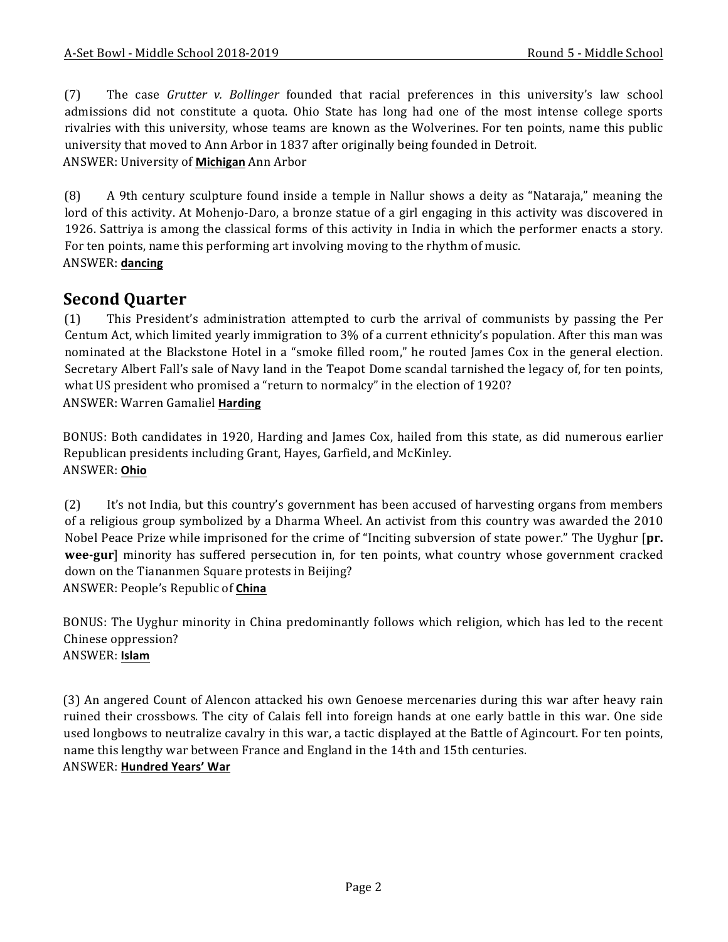(7) The case *Grutter v. Bollinger* founded that racial preferences in this university's law school admissions did not constitute a quota. Ohio State has long had one of the most intense college sports rivalries with this university, whose teams are known as the Wolverines. For ten points, name this public university that moved to Ann Arbor in 1837 after originally being founded in Detroit. ANSWER: University of **Michigan** Ann Arbor

(8) A 9th century sculpture found inside a temple in Nallur shows a deity as "Nataraja," meaning the lord of this activity. At Mohenjo-Daro, a bronze statue of a girl engaging in this activity was discovered in 1926. Sattriya is among the classical forms of this activity in India in which the performer enacts a story. For ten points, name this performing art involving moving to the rhythm of music. ANSWER: **dancing**

# **Second Quarter**

(1) This President's administration attempted to curb the arrival of communists by passing the Per Centum Act, which limited yearly immigration to 3% of a current ethnicity's population. After this man was nominated at the Blackstone Hotel in a "smoke filled room," he routed James Cox in the general election. Secretary Albert Fall's sale of Navy land in the Teapot Dome scandal tarnished the legacy of, for ten points, what US president who promised a "return to normalcy" in the election of 1920? ANSWER: Warren Gamaliel **Harding**

BONUS: Both candidates in 1920, Harding and James Cox, hailed from this state, as did numerous earlier Republican presidents including Grant, Hayes, Garfield, and McKinley. ANSWER: **Ohio**

(2) It's not India, but this country's government has been accused of harvesting organs from members of a religious group symbolized by a Dharma Wheel. An activist from this country was awarded the 2010 Nobel Peace Prize while imprisoned for the crime of "Inciting subversion of state power." The Uyghur [pr. **wee-gur**] minority has suffered persecution in, for ten points, what country whose government cracked down on the Tiananmen Square protests in Beijing? ANSWER: People's Republic of **China**

BONUS: The Uyghur minority in China predominantly follows which religion, which has led to the recent Chinese oppression? ANSWER: **Islam**

(3) An angered Count of Alencon attacked his own Genoese mercenaries during this war after heavy rain ruined their crossbows. The city of Calais fell into foreign hands at one early battle in this war. One side used longbows to neutralize cavalry in this war, a tactic displayed at the Battle of Agincourt. For ten points, name this lengthy war between France and England in the 14th and 15th centuries. ANSWER: **Hundred Years' War**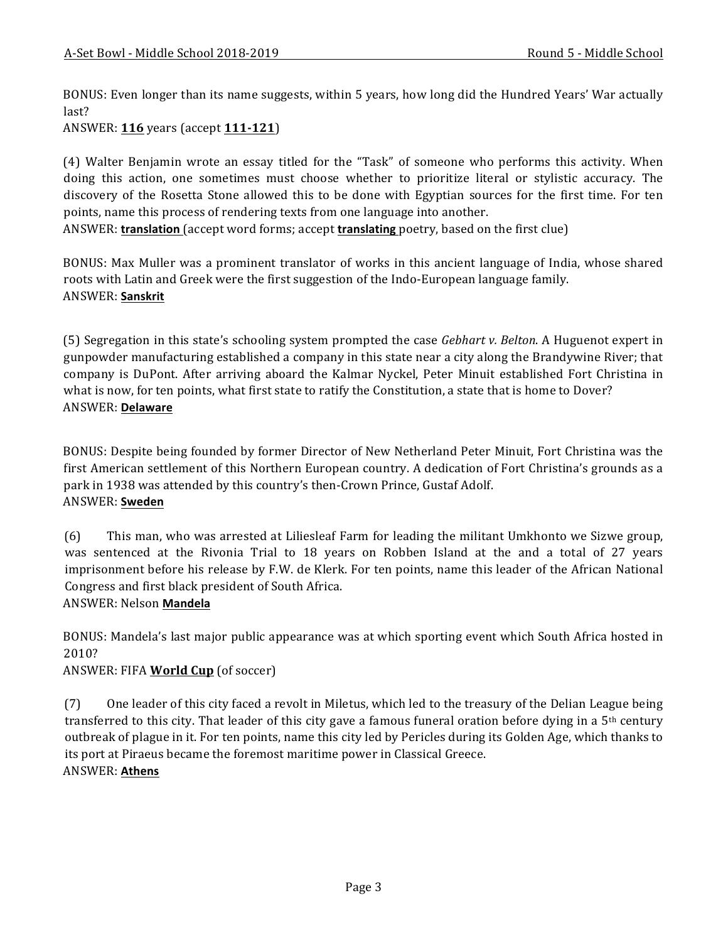BONUS: Even longer than its name suggests, within 5 years, how long did the Hundred Years' War actually last?

ANSWER: **116** years (accept **111-121**)

(4) Walter Benjamin wrote an essay titled for the "Task" of someone who performs this activity. When doing this action, one sometimes must choose whether to prioritize literal or stylistic accuracy. The discovery of the Rosetta Stone allowed this to be done with Egyptian sources for the first time. For ten points, name this process of rendering texts from one language into another.

ANSWER: **translation** (accept word forms; accept **translating** poetry, based on the first clue)

BONUS: Max Muller was a prominent translator of works in this ancient language of India, whose shared roots with Latin and Greek were the first suggestion of the Indo-European language family. ANSWER: **Sanskrit**

(5) Segregation in this state's schooling system prompted the case *Gebhart v. Belton*. A Huguenot expert in gunpowder manufacturing established a company in this state near a city along the Brandywine River; that company is DuPont. After arriving aboard the Kalmar Nyckel, Peter Minuit established Fort Christina in what is now, for ten points, what first state to ratify the Constitution, a state that is home to Dover? ANSWER: **Delaware**

BONUS: Despite being founded by former Director of New Netherland Peter Minuit, Fort Christina was the first American settlement of this Northern European country. A dedication of Fort Christina's grounds as a park in 1938 was attended by this country's then-Crown Prince, Gustaf Adolf. ANSWER: **Sweden**

(6) This man, who was arrested at Liliesleaf Farm for leading the militant Umkhonto we Sizwe group, was sentenced at the Rivonia Trial to 18 years on Robben Island at the and a total of 27 years imprisonment before his release by F.W. de Klerk. For ten points, name this leader of the African National Congress and first black president of South Africa.

#### ANSWER: Nelson **Mandela**

BONUS: Mandela's last major public appearance was at which sporting event which South Africa hosted in 2010?

#### ANSWER: FIFA **World Cup** (of soccer)

(7) One leader of this city faced a revolt in Miletus, which led to the treasury of the Delian League being transferred to this city. That leader of this city gave a famous funeral oration before dying in a  $5<sup>th</sup>$  century outbreak of plague in it. For ten points, name this city led by Pericles during its Golden Age, which thanks to its port at Piraeus became the foremost maritime power in Classical Greece. ANSWER: **Athens**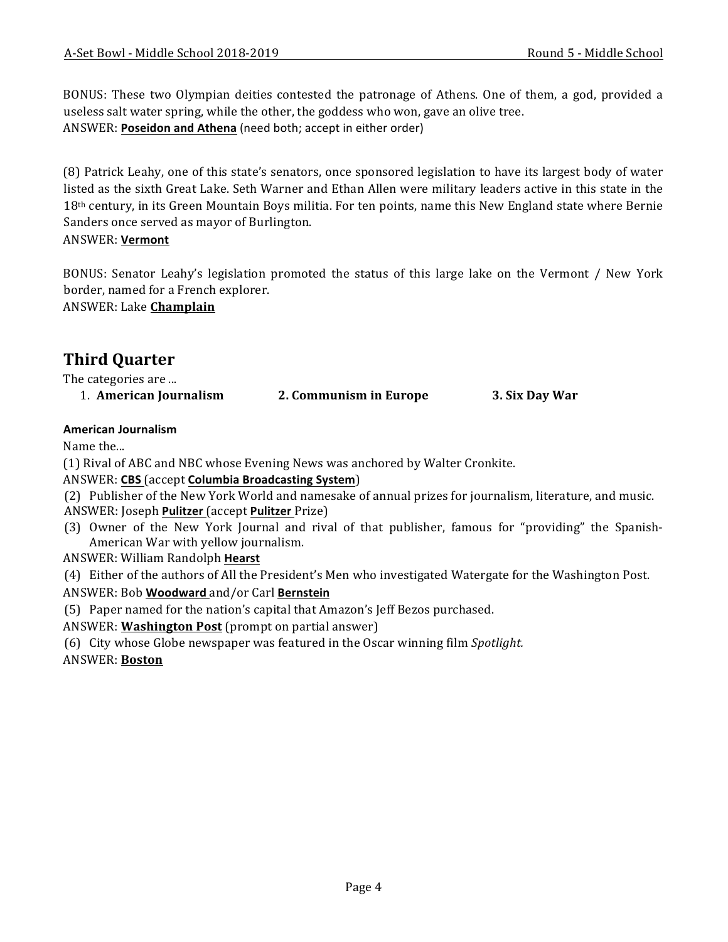BONUS: These two Olympian deities contested the patronage of Athens. One of them, a god, provided a useless salt water spring, while the other, the goddess who won, gave an olive tree. ANSWER: Poseidon and Athena (need both; accept in either order)

(8) Patrick Leahy, one of this state's senators, once sponsored legislation to have its largest body of water listed as the sixth Great Lake. Seth Warner and Ethan Allen were military leaders active in this state in the 18<sup>th</sup> century, in its Green Mountain Boys militia. For ten points, name this New England state where Bernie Sanders once served as mayor of Burlington.

ANSWER: **Vermont**

BONUS: Senator Leahy's legislation promoted the status of this large lake on the Vermont / New York border, named for a French explorer.

ANSWER: Lake **Champlain**

# **Third Quarter**

The categories are ...

1. **American Journalism 2. Communism in Europe 3. Six Day War** 

#### **American Journalism**

Name the...

- (1) Rival of ABC and NBC whose Evening News was anchored by Walter Cronkite.
- ANSWER: **CBS** (accept **Columbia Broadcasting System**)
- (2) Publisher of the New York World and namesake of annual prizes for journalism, literature, and music.
- ANSWER: Joseph **Pulitzer** (accept **Pulitzer** Prize)
- (3) Owner of the New York Journal and rival of that publisher, famous for "providing" the Spanish-American War with yellow journalism.
- ANSWER: William Randolph **Hearst**

(4) Either of the authors of All the President's Men who investigated Watergate for the Washington Post.

- ANSWER: Bob **Woodward** and/or Carl **Bernstein**
- (5) Paper named for the nation's capital that Amazon's Jeff Bezos purchased.
- ANSWER: **Washington Post** (prompt on partial answer)
- (6) City whose Globe newspaper was featured in the Oscar winning film *Spotlight*.

ANSWER: **Boston**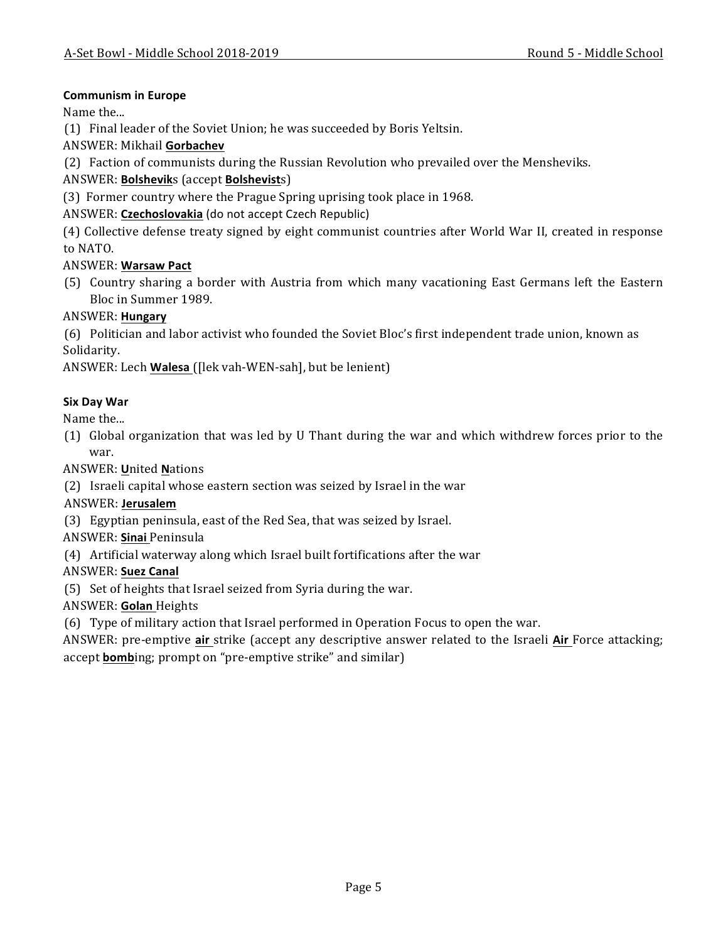#### **Communism in Europe**

Name the...

(1) Final leader of the Soviet Union; he was succeeded by Boris Yeltsin.

ANSWER: Mikhail **Gorbachev**

(2) Faction of communists during the Russian Revolution who prevailed over the Mensheviks.

ANSWER: **Bolshevik**s (accept **Bolshevist**s)

(3) Former country where the Prague Spring uprising took place in 1968.

ANSWER: Czechoslovakia (do not accept Czech Republic)

(4) Collective defense treaty signed by eight communist countries after World War II, created in response to NATO.

#### ANSWER: **Warsaw Pact**

(5) Country sharing a border with Austria from which many vacationing East Germans left the Eastern Bloc in Summer 1989.

#### ANSWER: **Hungary**

(6) Politician and labor activist who founded the Soviet Bloc's first independent trade union, known as Solidarity.

ANSWER: Lech **Walesa** ([lek vah-WEN-sah], but be lenient]

#### **Six Day War**

Name the...

(1) Global organization that was led by U Thant during the war and which withdrew forces prior to the war.

ANSWER: **U**nited **N**ations

(2) Israeli capital whose eastern section was seized by Israel in the war

#### ANSWER: **Jerusalem**

(3) Egyptian peninsula, east of the Red Sea, that was seized by Israel.

#### ANSWER: **Sinai** Peninsula

(4) Artificial waterway along which Israel built fortifications after the war

#### ANSWER: **Suez Canal**

(5) Set of heights that Israel seized from Syria during the war.

ANSWER: **Golan** Heights

(6) Type of military action that Israel performed in Operation Focus to open the war.

ANSWER: pre-emptive air strike (accept any descriptive answer related to the Israeli Air Force attacking; accept **bomb**ing; prompt on "pre-emptive strike" and similar)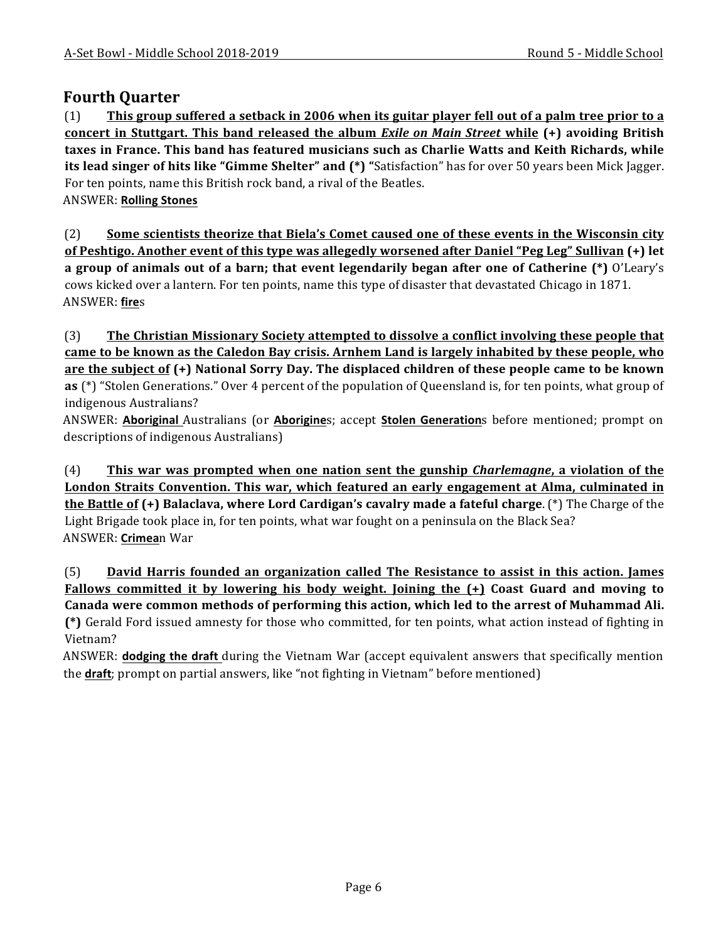### **Fourth Quarter**

(1) This group suffered a setback in 2006 when its guitar player fell out of a palm tree prior to a **concert in Stuttgart. This band released the album** *Exile* **on Main Street while (+) avoiding British** taxes in France. This band has featured musicians such as Charlie Watts and Keith Richards, while **its lead singer of hits like "Gimme Shelter" and**  $(*)$  **"Satisfaction" has for over 50 years been Mick Jagger.** For ten points, name this British rock band, a rival of the Beatles. ANSWER: **Rolling Stones**

(2) Some scientists theorize that Biela's Comet caused one of these events in the Wisconsin city **of** Peshtigo. Another event of this type was allegedly worsened after Daniel "Peg Leg" Sullivan (+) let **a** group of animals out of a barn; that event legendarily began after one of Catherine (\*) O'Leary's cows kicked over a lantern. For ten points, name this type of disaster that devastated Chicago in 1871. ANSWER: **fire**s

(3) The Christian Missionary Society attempted to dissolve a conflict involving these people that came to be known as the Caledon Bay crisis. Arnhem Land is largely inhabited by these people, who **are the subject of (+)** National Sorry Day. The displaced children of these people came to be known **as** (\*) "Stolen Generations." Over 4 percent of the population of Queensland is, for ten points, what group of indigenous Australians?

ANSWER: **Aboriginal** Australians (or **Aborigine**s; accept **Stolen Generation**s before mentioned; prompt on descriptions of indigenous Australians)

(4) **This war was prompted when one nation sent the gunship** *Charlemagne***, a violation of the London Straits Convention. This war, which featured an early engagement at Alma, culminated in the Battle of (+) Balaclava, where Lord Cardigan's cavalry made a fateful charge**. (\*) The Charge of the Light Brigade took place in, for ten points, what war fought on a peninsula on the Black Sea? ANSWER: **Crimea**n War

(5) **David Harris founded an organization called The Resistance to assist in this action. James Fallows committed it by lowering his body weight. Joining the**  $(+)$  **Coast Guard and moving to** Canada were common methods of performing this action, which led to the arrest of Muhammad Ali. (\*) Gerald Ford issued amnesty for those who committed, for ten points, what action instead of fighting in Vietnam?

ANSWER: **dodging the draft** during the Vietnam War (accept equivalent answers that specifically mention the **draft**; prompt on partial answers, like "not fighting in Vietnam" before mentioned)